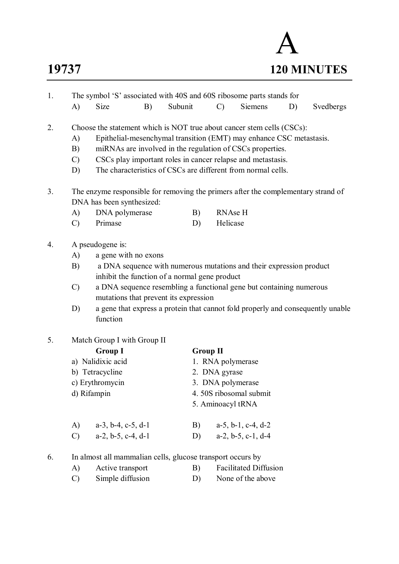# A **19737 120 MINUTES**

| The symbol 'S' associated with 40S and 60S ribosome parts stands for<br>1. |                                                                                   |                                                                                                                                                |    |          |                   |                                                                                                                                                                                                                                                                 |    |           |  |  |
|----------------------------------------------------------------------------|-----------------------------------------------------------------------------------|------------------------------------------------------------------------------------------------------------------------------------------------|----|----------|-------------------|-----------------------------------------------------------------------------------------------------------------------------------------------------------------------------------------------------------------------------------------------------------------|----|-----------|--|--|
|                                                                            | A)                                                                                | <b>Size</b>                                                                                                                                    | B) | Subunit  | $\mathcal{C}$     | <b>Siemens</b>                                                                                                                                                                                                                                                  | D) | Svedbergs |  |  |
| 2.                                                                         | A)<br>B)<br>$\mathcal{C}$<br>D)                                                   | Choose the statement which is NOT true about cancer stem cells (CSCs):                                                                         |    |          |                   | Epithelial-mesenchymal transition (EMT) may enhance CSC metastasis.<br>miRNAs are involved in the regulation of CSCs properties.<br>CSCs play important roles in cancer relapse and metastasis.<br>The characteristics of CSCs are different from normal cells. |    |           |  |  |
| 3.                                                                         | The enzyme responsible for removing the primers after the complementary strand of |                                                                                                                                                |    |          |                   |                                                                                                                                                                                                                                                                 |    |           |  |  |
|                                                                            |                                                                                   | DNA has been synthesized:                                                                                                                      |    |          | <b>RNAse H</b>    |                                                                                                                                                                                                                                                                 |    |           |  |  |
|                                                                            | A)<br>$\mathcal{C}$                                                               | DNA polymerase<br>Primase                                                                                                                      |    | B)<br>D) | Helicase          |                                                                                                                                                                                                                                                                 |    |           |  |  |
| 4.                                                                         | A)<br>B)<br>$\mathcal{C}$<br>D)                                                   | A pseudogene is:<br>a gene with no exons<br>inhibit the function of a normal gene product<br>mutations that prevent its expression<br>function |    |          |                   | a DNA sequence with numerous mutations and their expression product<br>a DNA sequence resembling a functional gene but containing numerous<br>a gene that express a protein that cannot fold properly and consequently unable                                   |    |           |  |  |
| 5.                                                                         |                                                                                   | Match Group I with Group II                                                                                                                    |    |          |                   |                                                                                                                                                                                                                                                                 |    |           |  |  |
|                                                                            |                                                                                   | <b>Group I</b>                                                                                                                                 |    |          | <b>Group II</b>   |                                                                                                                                                                                                                                                                 |    |           |  |  |
|                                                                            |                                                                                   | a) Nalidixic acid                                                                                                                              |    |          | 1. RNA polymerase |                                                                                                                                                                                                                                                                 |    |           |  |  |
|                                                                            |                                                                                   | b) Tetracycline                                                                                                                                |    |          | 2. DNA gyrase     |                                                                                                                                                                                                                                                                 |    |           |  |  |
|                                                                            |                                                                                   | c) Erythromycin                                                                                                                                |    |          | 3. DNA polymerase |                                                                                                                                                                                                                                                                 |    |           |  |  |
|                                                                            | d) Rifampin                                                                       |                                                                                                                                                |    |          |                   | 4.50S ribosomal submit                                                                                                                                                                                                                                          |    |           |  |  |
|                                                                            |                                                                                   |                                                                                                                                                |    |          | 5. Aminoacyl tRNA |                                                                                                                                                                                                                                                                 |    |           |  |  |
|                                                                            | A)                                                                                | $a-3$ , $b-4$ , $c-5$ , $d-1$                                                                                                                  |    | B)       |                   | $a-5$ , $b-1$ , $c-4$ , $d-2$                                                                                                                                                                                                                                   |    |           |  |  |
|                                                                            | $\mathcal{C}$                                                                     | $a-2$ , $b-5$ , $c-4$ , $d-1$                                                                                                                  |    | D)       |                   | $a-2, b-5, c-1, d-4$                                                                                                                                                                                                                                            |    |           |  |  |
| 6.                                                                         |                                                                                   | In almost all mammalian cells, glucose transport occurs by                                                                                     |    |          |                   |                                                                                                                                                                                                                                                                 |    |           |  |  |
|                                                                            | A)                                                                                | Active transport                                                                                                                               |    | B)       |                   | <b>Facilitated Diffusion</b>                                                                                                                                                                                                                                    |    |           |  |  |
|                                                                            | $\mathcal{C}$                                                                     | Simple diffusion                                                                                                                               |    | D)       |                   | None of the above                                                                                                                                                                                                                                               |    |           |  |  |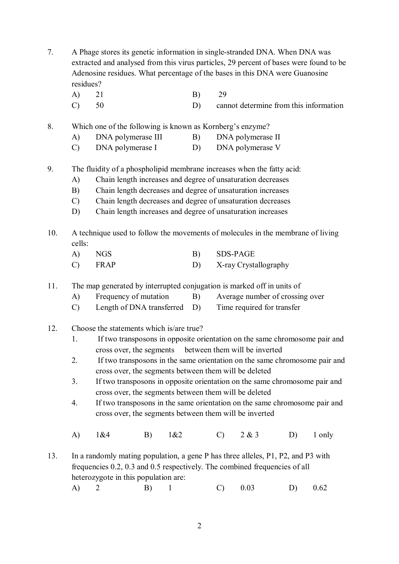- 7. A Phage stores its genetic information in single-stranded DNA. When DNA was extracted and analysed from this virus particles, 29 percent of bases were found to be Adenosine residues. What percentage of the bases in this DNA were Guanosine residues?
	- A) 21 B) 29
	- C) 50 D) cannot determine from this information
- 8. Which one of the following is known as Kornberg's enzyme?
	- A) DNA polymerase III B) DNA polymerase II
	- C) DNA polymerase I D) DNA polymerase V
- 9. The fluidity of a phospholipid membrane increases when the fatty acid:
	- A) Chain length increases and degree of unsaturation decreases
	- B) Chain length decreases and degree of unsaturation increases
	- C) Chain length decreases and degree of unsaturation decreases
	- D) Chain length increases and degree of unsaturation increases
- 10. A technique used to follow the movements of molecules in the membrane of living cells:
	- A) NGS B) SDS-PAGE C) FRAP D) X-ray Crystallography
- 11. The map generated by interrupted conjugation is marked off in units of
	- A) Frequency of mutation B) Average number of crossing over
	- C) Length of DNA transferred D) Time required for transfer
- 12. Choose the statements which is/are true?
	- 1. If two transposons in opposite orientation on the same chromosome pair and cross over, the segments between them will be inverted
	- 2. If two transposons in the same orientation on the same chromosome pair and cross over, the segments between them will be deleted
	- 3. If two transposons in opposite orientation on the same chromosome pair and cross over, the segments between them will be deleted
	- 4. If two transposons in the same orientation on the same chromosome pair and cross over, the segments between them will be inverted
	- A) 1&4 B) 1&2 C) 2 & 3 D) 1 only
- 13. In a randomly mating population, a gene P has three alleles, P1, P2, and P3 with frequencies 0.2, 0.3 and 0.5 respectively. The combined frequencies of all heterozygote in this population are:
	- A) 2 B) 1 C) 0.03 D) 0.62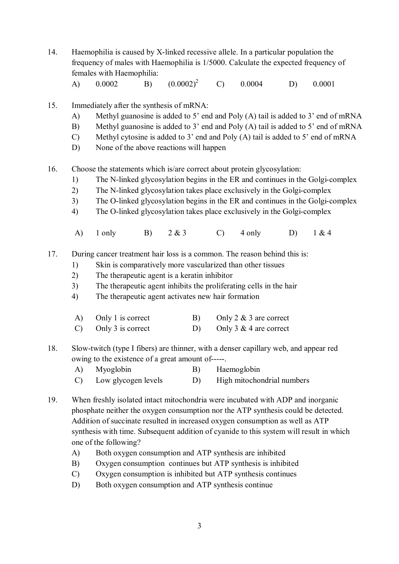- 14. Haemophilia is caused by X-linked recessive allele. In a particular population the frequency of males with Haemophilia is 1/5000. Calculate the expected frequency of females with Haemophilia:
	- A)  $0.0002$  B)  $(0.0002)^2$  C)  $0.0004$  D)  $0.0001$
- 15. Immediately after the synthesis of mRNA:
	- A) Methyl guanosine is added to 5' end and Poly (A) tail is added to 3' end of mRNA
	- B) Methyl guanosine is added to 3' end and Poly (A) tail is added to 5' end of mRNA
	- C) Methyl cytosine is added to 3' end and Poly (A) tail is added to 5' end of mRNA
	- D) None of the above reactions will happen
- 16. Choose the statements which is/are correct about protein glycosylation:
	- 1) The N-linked glycosylation begins in the ER and continues in the Golgi-complex
	- 2) The N-linked glycosylation takes place exclusively in the Golgi-complex
	- 3) The O-linked glycosylation begins in the ER and continues in the Golgi-complex
	- 4) The O-linked glycosylation takes place exclusively in the Golgi-complex
	- A) 1 only B) 2 & 3 C) 4 only D) 1 & 4

17. During cancer treatment hair loss is a common. The reason behind this is:

- 1) Skin is comparatively more vascularized than other tissues
- 2) The therapeutic agent is a keratin inhibitor
- 3) The therapeutic agent inhibits the proliferating cells in the hair
- 4) The therapeutic agent activates new hair formation

| A) Only 1 is correct          | Only 2 $\&$ 3 are correct |
|-------------------------------|---------------------------|
| $\text{C)}$ Only 3 is correct | Only 3 & 4 are correct    |

- 18. Slow-twitch (type I fibers) are thinner, with a denser capillary web, and appear red owing to the existence of a great amount of-----.
	- A) Myoglobin B) Haemoglobin C) Low glycogen levels D) High mitochondrial numbers
- 19. When freshly isolated intact mitochondria were incubated with ADP and inorganic phosphate neither the oxygen consumption nor the ATP synthesis could be detected. Addition of succinate resulted in increased oxygen consumption as well as ATP synthesis with time. Subsequent addition of cyanide to this system will result in which one of the following?
	- A) Both oxygen consumption and ATP synthesis are inhibited
	- B) Oxygen consumption continues but ATP synthesis is inhibited
	- C) Oxygen consumption is inhibited but ATP synthesis continues
	- D) Both oxygen consumption and ATP synthesis continue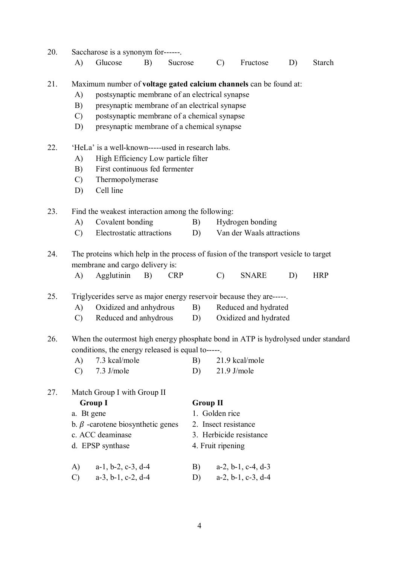| 20. | Saccharose is a synonym for------.                                                  |                                                   |            |                            |                  |                               |    |            |  |  |  |
|-----|-------------------------------------------------------------------------------------|---------------------------------------------------|------------|----------------------------|------------------|-------------------------------|----|------------|--|--|--|
|     | A)                                                                                  | Glucose<br>B)                                     | Sucrose    | $\mathcal{C}$              |                  | Fructose                      | D) | Starch     |  |  |  |
| 21. | Maximum number of voltage gated calcium channels can be found at:                   |                                                   |            |                            |                  |                               |    |            |  |  |  |
|     | postsynaptic membrane of an electrical synapse<br>$\mathbf{A}$                      |                                                   |            |                            |                  |                               |    |            |  |  |  |
|     | B)                                                                                  | presynaptic membrane of an electrical synapse     |            |                            |                  |                               |    |            |  |  |  |
|     | $\mathcal{C}$                                                                       | postsynaptic membrane of a chemical synapse       |            |                            |                  |                               |    |            |  |  |  |
|     | D)                                                                                  | presynaptic membrane of a chemical synapse        |            |                            |                  |                               |    |            |  |  |  |
| 22. | 'HeLa' is a well-known-----used in research labs.                                   |                                                   |            |                            |                  |                               |    |            |  |  |  |
|     | A)                                                                                  | High Efficiency Low particle filter               |            |                            |                  |                               |    |            |  |  |  |
|     | B)                                                                                  | First continuous fed fermenter                    |            |                            |                  |                               |    |            |  |  |  |
|     | $\mathcal{C}$                                                                       | Thermopolymerase                                  |            |                            |                  |                               |    |            |  |  |  |
|     | D)                                                                                  | Cell line                                         |            |                            |                  |                               |    |            |  |  |  |
| 23. | Find the weakest interaction among the following:                                   |                                                   |            |                            |                  |                               |    |            |  |  |  |
|     | A)                                                                                  | Covalent bonding                                  | B)         |                            | Hydrogen bonding |                               |    |            |  |  |  |
|     | $\mathcal{C}$                                                                       | Electrostatic attractions                         | D)         |                            |                  | Van der Waals attractions     |    |            |  |  |  |
| 24. | The proteins which help in the process of fusion of the transport vesicle to target |                                                   |            |                            |                  |                               |    |            |  |  |  |
|     |                                                                                     | membrane and cargo delivery is:                   |            |                            |                  |                               |    |            |  |  |  |
|     | A)                                                                                  | Agglutinin<br>B)                                  | <b>CRP</b> | $\mathcal{C}$              |                  | <b>SNARE</b>                  | D) | <b>HRP</b> |  |  |  |
| 25. | Triglycerides serve as major energy reservoir because they are-----.                |                                                   |            |                            |                  |                               |    |            |  |  |  |
|     | $\mathbf{A}$                                                                        | Oxidized and anhydrous                            |            | Reduced and hydrated<br>B) |                  |                               |    |            |  |  |  |
|     | $\mathcal{C}$                                                                       | Reduced and anhydrous                             | D)         |                            |                  | Oxidized and hydrated         |    |            |  |  |  |
| 26. | When the outermost high energy phosphate bond in ATP is hydrolysed under standard   |                                                   |            |                            |                  |                               |    |            |  |  |  |
|     |                                                                                     | conditions, the energy released is equal to-----. |            |                            |                  |                               |    |            |  |  |  |
|     | A)                                                                                  | 7.3 kcal/mole                                     | B)         |                            |                  | 21.9 kcal/mole                |    |            |  |  |  |
|     | $\mathcal{C}$                                                                       | 7.3 J/mole                                        | D)         |                            |                  | $21.9$ J/mole                 |    |            |  |  |  |
| 27. |                                                                                     | Match Group I with Group II                       |            |                            |                  |                               |    |            |  |  |  |
|     |                                                                                     | <b>Group I</b>                                    |            | <b>Group II</b>            |                  |                               |    |            |  |  |  |
|     |                                                                                     | a. Bt gene                                        |            | 1. Golden rice             |                  |                               |    |            |  |  |  |
|     |                                                                                     | b. $\beta$ -carotene biosynthetic genes           |            | 2. Insect resistance       |                  |                               |    |            |  |  |  |
|     |                                                                                     | c. ACC deaminase                                  |            |                            |                  | 3. Herbicide resistance       |    |            |  |  |  |
|     |                                                                                     | d. EPSP synthase                                  |            | 4. Fruit ripening          |                  |                               |    |            |  |  |  |
|     | A)                                                                                  | $a-1$ , $b-2$ , $c-3$ , $d-4$                     | B)         |                            |                  | $a-2$ , $b-1$ , $c-4$ , $d-3$ |    |            |  |  |  |
|     | $\mathcal{C}$                                                                       | $a-3$ , $b-1$ , $c-2$ , $d-4$                     | D)         |                            |                  | $a-2$ , $b-1$ , $c-3$ , $d-4$ |    |            |  |  |  |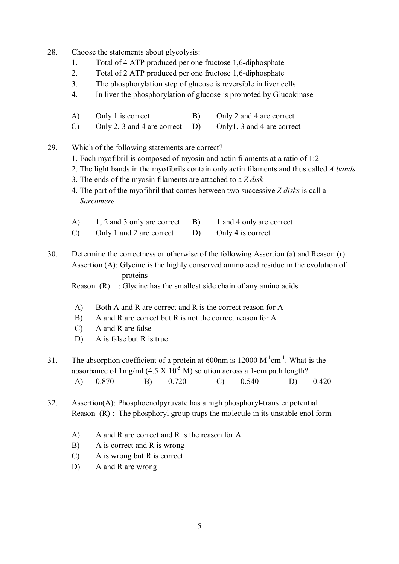- 28. Choose the statements about glycolysis:
	- 1. Total of 4 ATP produced per one fructose 1,6-diphosphate
	- 2. Total of 2 ATP produced per one fructose 1,6-diphosphate
	- 3. The phosphorylation step of glucose is reversible in liver cells
	- 4. In liver the phosphorylation of glucose is promoted by Glucokinase
	- A) Only 1 is correct B) Only 2 and 4 are correct
	- C) Only 2, 3 and 4 are correct D) Only1, 3 and 4 are correct
- 29. Which of the following statements are correct?
	- 1. Each myofibril is composed of myosin and actin filaments at a ratio of 1:2
	- 2. The light bands in the myofibrils contain only actin filaments and thus called *A bands*
	- 3. The ends of the myosin filaments are attached to a *Z disk*
	- 4. The part of the myofibril that comes between two successive *Z disks* is call a *Sarcomere*
	- A) 1, 2 and 3 only are correct B) 1 and 4 only are correct
	- C) Only 1 and 2 are correct D) Only 4 is correct
- 30. Determine the correctness or otherwise of the following Assertion (a) and Reason (r). Assertion (A): Glycine is the highly conserved amino acid residue in the evolution of proteins
	- Reason  $(R)$ : Glycine has the smallest side chain of any amino acids
	- A) Both A and R are correct and R is the correct reason for A
	- B) A and R are correct but R is not the correct reason for A
	- C) A and R are false
	- D) A is false but R is true
- 31. The absorption coefficient of a protein at  $600$ nm is  $12000 \, \text{M}^{-1} \text{cm}^{-1}$ . What is the absorbance of  $1 \text{mg/ml}$  (4.5 X  $10^{-5}$  M) solution across a 1-cm path length? A) 0.870 B) 0.720 C) 0.540 D) 0.420
- 32. Assertion(A): Phosphoenolpyruvate has a high phosphoryl-transfer potential Reason (R) : The phosphoryl group traps the molecule in its unstable enol form
	- A) A and R are correct and R is the reason for A
	- B) A is correct and R is wrong
	- C) A is wrong but R is correct
	- D) A and R are wrong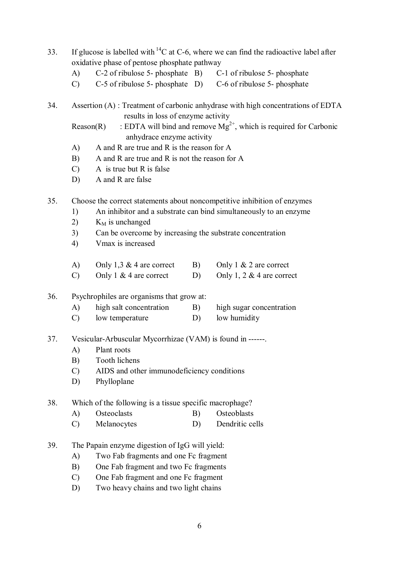- 33. If glucose is labelled with  $^{14}$ C at C-6, where we can find the radioactive label after oxidative phase of pentose phosphate pathway
	- A) C-2 of ribulose 5- phosphate B) C-1 of ribulose 5- phosphate
	- C) C-5 of ribulose 5- phosphate D) C-6 of ribulose 5- phosphate
- 34. Assertion (A) : Treatment of carbonic anhydrase with high concentrations of EDTA results in loss of enzyme activity
	- Reason(R) : EDTA will bind and remove  $Mg^{2+}$ , which is required for Carbonic anhydrace enzyme activity
	- A) A and R are true and R is the reason for A
	- B) A and R are true and R is not the reason for A
	- C) A is true but R is false
	- D) A and R are false

35. Choose the correct statements about noncompetitive inhibition of enzymes

- 1) An inhibitor and a substrate can bind simultaneously to an enzyme
- 2)  $K_M$  is unchanged
- 3) Can be overcome by increasing the substrate concentration
- 4) Vmax is increased

| A)            | Only 1,3 & 4 are correct | B) | Only $1 \& 2$ are correct   |
|---------------|--------------------------|----|-----------------------------|
| $\mathcal{C}$ | Only 1 & 4 are correct   |    | Only 1, 2 $&$ 4 are correct |

## 36. Psychrophiles are organisms that grow at:

- A) high salt concentration B) high sugar concentration
- C) low temperature D) low humidity

## 37. Vesicular-Arbuscular Mycorrhizae (VAM) is found in ------.

- A) Plant roots
- B) Tooth lichens
- C) AIDS and other immunodeficiency conditions
- D) Phylloplane

## 38. Which of the following is a tissue specific macrophage?

- A) Osteoclasts B) Osteoblasts
- C) Melanocytes D) Dendritic cells
- 39. The Papain enzyme digestion of IgG will yield:
	- A) Two Fab fragments and one Fc fragment
		- B) One Fab fragment and two Fc fragments
		- C) One Fab fragment and one Fc fragment
		- D) Two heavy chains and two light chains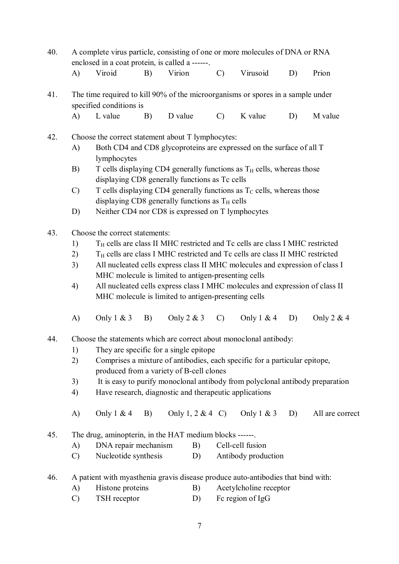- 40. A complete virus particle, consisting of one or more molecules of DNA or RNA enclosed in a coat protein, is called a ------. A) Viroid B) Virion C) Virusoid D) Prion
- 41. The time required to kill 90% of the microorganisms or spores in a sample under specified conditions is
	- A) L value B) D value C) K value D) M value
- 42. Choose the correct statement about T lymphocytes:
	- A) Both CD4 and CD8 glycoproteins are expressed on the surface of all T lymphocytes
	- B) T cells displaying CD4 generally functions as  $T_H$  cells, whereas those displaying CD8 generally functions as Tc cells
	- C) T cells displaying CD4 generally functions as  $T_c$  cells, whereas those displaying CD8 generally functions as  $T_H$  cells
	- D) Neither CD4 nor CD8 is expressed on T lymphocytes
- 43. Choose the correct statements:
	- 1) T<sub>H</sub> cells are class II MHC restricted and Tc cells are class I MHC restricted
	- $2)$  T<sub>H</sub> cells are class I MHC restricted and Tc cells are class II MHC restricted
	- 3) All nucleated cells express class II MHC molecules and expression of class I MHC molecule is limited to antigen-presenting cells
	- 4) All nucleated cells express class I MHC molecules and expression of class II MHC molecule is limited to antigen-presenting cells
	- A) Only  $1 \& 3 \quad B$ ) Only  $2 \& 3 \quad C$ ) Only  $1 \& 4 \quad D$ ) Only  $2 \& 4$
- 44. Choose the statements which are correct about monoclonal antibody:
	- 1) They are specific for a single epitope
	- 2) Comprises a mixture of antibodies, each specific for a particular epitope, produced from a variety of B-cell clones
	- 3) It is easy to purify monoclonal antibody from polyclonal antibody preparation
	- 4) Have research, diagnostic and therapeutic applications
	- A) Only  $1 \& 4$  B) Only  $1, 2 \& 4$  C) Only  $1 \& 3$  D) All are correct
- 45. The drug, aminopterin, in the HAT medium blocks ------.
	- A) DNA repair mechanism B) Cell-cell fusion
	- C) Nucleotide synthesis D) Antibody production
- 46. A patient with myasthenia gravis disease produce auto-antibodies that bind with:
	- A) Histone proteins B) Acetylcholine receptor
	- C) TSH receptor D) Fc region of IgG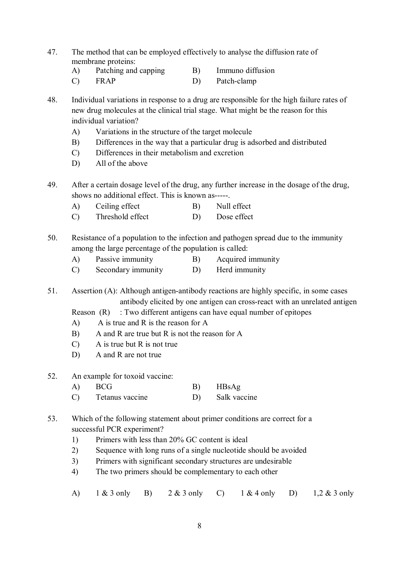- 47. The method that can be employed effectively to analyse the diffusion rate of membrane proteins:
	- A) Patching and capping B) Immuno diffusion
	- C) FRAP D) Patch-clamp

48. Individual variations in response to a drug are responsible for the high failure rates of new drug molecules at the clinical trial stage. What might be the reason for this individual variation?

- A) Variations in the structure of the target molecule
- B) Differences in the way that a particular drug is adsorbed and distributed
- C) Differences in their metabolism and excretion
- D) All of the above
- 49. After a certain dosage level of the drug, any further increase in the dosage of the drug, shows no additional effect. This is known as-----.
	- A) Ceiling effect B) Null effect
	- C) Threshold effect D) Dose effect

50. Resistance of a population to the infection and pathogen spread due to the immunity among the large percentage of the population is called:

- A) Passive immunity B) Acquired immunity
- C) Secondary immunity D) Herd immunity

51. Assertion (A): Although antigen-antibody reactions are highly specific, in some cases antibody elicited by one antigen can cross-react with an unrelated antigen

Reason  $(R)$ : Two different antigens can have equal number of epitopes

- A) A is true and R is the reason for A
- B) A and R are true but R is not the reason for A
- C) A is true but R is not true
- D) A and R are not true
- 52. An example for toxoid vaccine:
	- A) BCG B) HBsAg
	- C) Tetanus vaccine D) Salk vaccine
- 53. Which of the following statement about primer conditions are correct for a successful PCR experiment?
	- 1) Primers with less than 20% GC content is ideal
	- 2) Sequence with long runs of a single nucleotide should be avoided
	- 3) Primers with significant secondary structures are undesirable
	- 4) The two primers should be complementary to each other
	- A) 1 & 3 only B) 2 & 3 only C) 1 & 4 only D) 1,2 & 3 only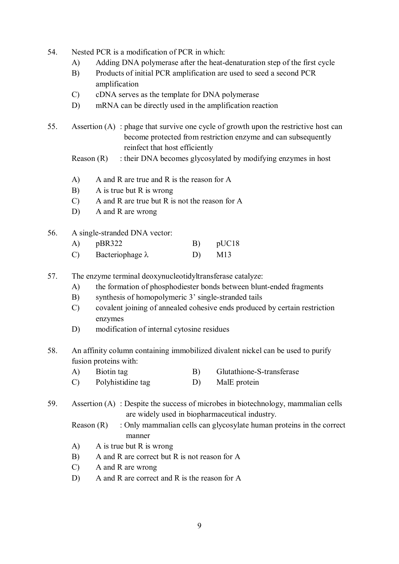- 54. Nested PCR is a modification of PCR in which:
	- A) Adding DNA polymerase after the heat-denaturation step of the first cycle
	- B) Products of initial PCR amplification are used to seed a second PCR amplification
	- C) cDNA serves as the template for DNA polymerase
	- D) mRNA can be directly used in the amplification reaction
- 55. Assertion (A) : phage that survive one cycle of growth upon the restrictive host can become protected from restriction enzyme and can subsequently reinfect that host efficiently
	- Reason  $(R)$ : their DNA becomes glycosylated by modifying enzymes in host
	- A) A and R are true and R is the reason for A
	- B) A is true but R is wrong
	- C) A and R are true but R is not the reason for A
	- D) A and R are wrong
- 56. A single-stranded DNA vector:

| A) | pBR322                  | pUC18 |
|----|-------------------------|-------|
|    | Bacteriophage $\lambda$ | M13   |

- 57. The enzyme terminal deoxynucleotidyltransferase catalyze:
	- A) the formation of phosphodiester bonds between blunt-ended fragments
	- B) synthesis of homopolymeric 3' single-stranded tails
	- C) covalent joining of annealed cohesive ends produced by certain restriction enzymes
	- D) modification of internal cytosine residues
- 58. An affinity column containing immobilized divalent nickel can be used to purify fusion proteins with:
	- A) Biotin tag B) Glutathione-S-transferase
	- C) Polyhistidine tag D) MalE protein
- 59. Assertion (A) : Despite the success of microbes in biotechnology, mammalian cells are widely used in biopharmaceutical industry.
	- Reason  $(R)$ : Only mammalian cells can glycosylate human proteins in the correct manner
	- A) A is true but R is wrong
	- B) A and R are correct but R is not reason for A
	- C) A and R are wrong
	- D) A and R are correct and R is the reason for A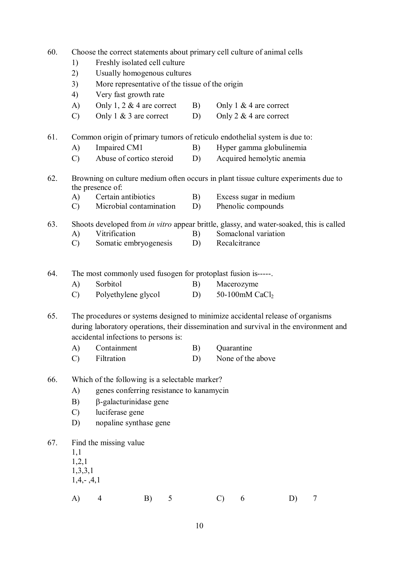| 60.<br>Choose the correct statements about primary cell culture of animal cells<br>Freshly isolated cell culture<br>1)<br>2)<br>Usually homogenous cultures<br>3)<br>More representative of the tissue of the origin<br>Very fast growth rate<br>4) |                                        |                                                                                                                                                                                                                 |    |   |          |               |                                              |                           |   |  |
|-----------------------------------------------------------------------------------------------------------------------------------------------------------------------------------------------------------------------------------------------------|----------------------------------------|-----------------------------------------------------------------------------------------------------------------------------------------------------------------------------------------------------------------|----|---|----------|---------------|----------------------------------------------|---------------------------|---|--|
|                                                                                                                                                                                                                                                     | A)                                     | Only 1, 2 $&$ 4 are correct                                                                                                                                                                                     |    |   | B)       |               | Only 1 & 4 are correct                       |                           |   |  |
|                                                                                                                                                                                                                                                     | $\mathcal{C}$                          | Only $1 \& 3$ are correct                                                                                                                                                                                       |    |   | D)       |               | Only 2 $&$ 4 are correct                     |                           |   |  |
| 61.                                                                                                                                                                                                                                                 |                                        | Common origin of primary tumors of reticulo endothelial system is due to:                                                                                                                                       |    |   |          |               |                                              |                           |   |  |
|                                                                                                                                                                                                                                                     | A)                                     | Impaired CM1                                                                                                                                                                                                    |    |   | B)       |               |                                              | Hyper gamma globulinemia  |   |  |
|                                                                                                                                                                                                                                                     | $\mathcal{C}$                          | Abuse of cortico steroid                                                                                                                                                                                        |    |   | D)       |               |                                              | Acquired hemolytic anemia |   |  |
| 62.                                                                                                                                                                                                                                                 | A)<br>$\mathcal{C}$                    | Browning on culture medium often occurs in plant tissue culture experiments due to<br>the presence of:<br>Certain antibiotics<br>Microbial contamination                                                        |    |   | B)<br>D) |               | Excess sugar in medium<br>Phenolic compounds |                           |   |  |
| 63.                                                                                                                                                                                                                                                 | A)<br>$\mathcal{C}$                    | Shoots developed from <i>in vitro</i> appear brittle, glassy, and water-soaked, this is called<br>Vitrification<br>Somatic embryogenesis                                                                        |    |   | B)<br>D) |               | Somaclonal variation<br>Recalcitrance        |                           |   |  |
| 64.                                                                                                                                                                                                                                                 |                                        | The most commonly used fusogen for protoplast fusion is-----.                                                                                                                                                   |    |   |          |               |                                              |                           |   |  |
|                                                                                                                                                                                                                                                     | $\bf{A}$                               | Sorbitol                                                                                                                                                                                                        |    |   | B)       |               | Macerozyme                                   |                           |   |  |
|                                                                                                                                                                                                                                                     | $\mathcal{C}$                          | Polyethylene glycol                                                                                                                                                                                             |    |   | D)       |               | 50-100mM CaCl <sub>2</sub>                   |                           |   |  |
| 65.                                                                                                                                                                                                                                                 |                                        | The procedures or systems designed to minimize accidental release of organisms<br>during laboratory operations, their dissemination and survival in the environment and<br>accidental infections to persons is: |    |   |          |               |                                              |                           |   |  |
|                                                                                                                                                                                                                                                     | A)                                     | Containment                                                                                                                                                                                                     |    |   | B)       | Quarantine    |                                              |                           |   |  |
|                                                                                                                                                                                                                                                     | $\mathcal{C}$                          | Filtration                                                                                                                                                                                                      |    |   | D)       |               | None of the above                            |                           |   |  |
| 66.                                                                                                                                                                                                                                                 | A)<br>B)<br>$\mathcal{C}$<br>D)        | Which of the following is a selectable marker?<br>genes conferring resistance to kanamycin<br>$\beta$ -galacturinidase gene<br>luciferase gene<br>nopaline synthase gene                                        |    |   |          |               |                                              |                           |   |  |
| 67.                                                                                                                                                                                                                                                 | 1,1<br>1,2,1<br>1,3,3,1<br>$1,4,-,4,1$ | Find the missing value                                                                                                                                                                                          |    |   |          |               |                                              |                           |   |  |
|                                                                                                                                                                                                                                                     | A)                                     | 4                                                                                                                                                                                                               | B) | 5 |          | $\mathcal{C}$ | 6                                            | D)                        | 7 |  |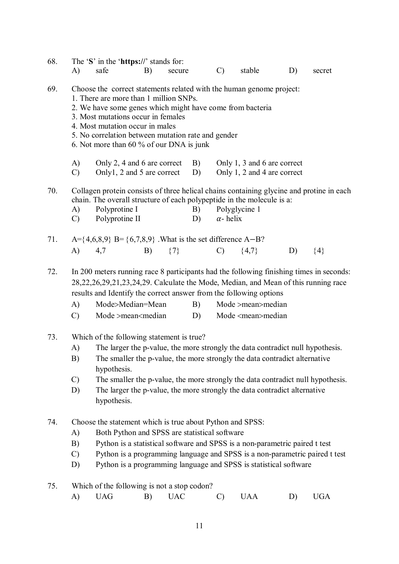| 68. | A)                              | The 'S' in the 'https://' stands for:<br>safe                                                                                                                                                                                                                                                                                                                                                                                                      | B) | secure     |          | $\mathcal{C}$    | stable                                                     | D) | secret     |
|-----|---------------------------------|----------------------------------------------------------------------------------------------------------------------------------------------------------------------------------------------------------------------------------------------------------------------------------------------------------------------------------------------------------------------------------------------------------------------------------------------------|----|------------|----------|------------------|------------------------------------------------------------|----|------------|
| 69. |                                 | Choose the correct statements related with the human genome project:<br>1. There are more than 1 million SNPs.<br>2. We have some genes which might have come from bacteria<br>3. Most mutations occur in females<br>4. Most mutation occur in males<br>5. No correlation between mutation rate and gender<br>6. Not more than 60 % of our DNA is junk                                                                                             |    |            |          |                  |                                                            |    |            |
|     | A)<br>$\mathcal{C}$             | Only 2, 4 and 6 are correct<br>Only1, 2 and 5 are correct                                                                                                                                                                                                                                                                                                                                                                                          |    |            | B)<br>D) |                  | Only 1, 3 and 6 are correct<br>Only 1, 2 and 4 are correct |    |            |
| 70. | A)<br>$\mathcal{C}$             | Collagen protein consists of three helical chains containing glycine and protine in each<br>chain. The overall structure of each polypeptide in the molecule is a:<br>Polyprotine I<br>Polyprotine II                                                                                                                                                                                                                                              |    |            | B)<br>D) | $\alpha$ - helix | Polyglycine 1                                              |    |            |
| 71. |                                 | A={4,6,8,9} B={6,7,8,9}. What is the set difference A–B?                                                                                                                                                                                                                                                                                                                                                                                           |    |            |          |                  |                                                            |    |            |
|     | A)                              | 4,7                                                                                                                                                                                                                                                                                                                                                                                                                                                | B) | $\{7\}$    |          | $\mathcal{C}$    | $\{4,7\}$                                                  | D) | ${4}$      |
| 72. | (A)<br>$\mathcal{C}$            | In 200 meters running race 8 participants had the following finishing times in seconds:<br>28, 22, 26, 29, 21, 23, 24, 29. Calculate the Mode, Median, and Mean of this running race<br>results and Identify the correct answer from the following options<br>Mode>Median=Mean<br>Mode >mean <median< td=""><td></td><td></td><td>B)<br/>D)</td><td></td><td>Mode &gt;mean&gt;median<br/>Mode <mean>median</mean></td><td></td><td></td></median<> |    |            | B)<br>D) |                  | Mode >mean>median<br>Mode <mean>median</mean>              |    |            |
| 73. | A)<br>B)<br>$\mathcal{C}$<br>D) | Which of the following statement is true?<br>The larger the p-value, the more strongly the data contradict null hypothesis.<br>The smaller the p-value, the more strongly the data contradict alternative<br>hypothesis.<br>The smaller the p-value, the more strongly the data contradict null hypothesis.<br>The larger the p-value, the more strongly the data contradict alternative<br>hypothesis.                                            |    |            |          |                  |                                                            |    |            |
| 74. | A)<br>B)<br>$\mathcal{C}$<br>D) | Choose the statement which is true about Python and SPSS:<br>Both Python and SPSS are statistical software<br>Python is a statistical software and SPSS is a non-parametric paired t test<br>Python is a programming language and SPSS is a non-parametric paired t test<br>Python is a programming language and SPSS is statistical software                                                                                                      |    |            |          |                  |                                                            |    |            |
| 75. |                                 | Which of the following is not a stop codon?                                                                                                                                                                                                                                                                                                                                                                                                        |    |            |          |                  |                                                            |    |            |
|     | A)                              | <b>UAG</b>                                                                                                                                                                                                                                                                                                                                                                                                                                         | B) | <b>UAC</b> |          | $\mathcal{C}$    | <b>UAA</b>                                                 | D) | <b>UGA</b> |
|     |                                 |                                                                                                                                                                                                                                                                                                                                                                                                                                                    |    |            |          |                  |                                                            |    |            |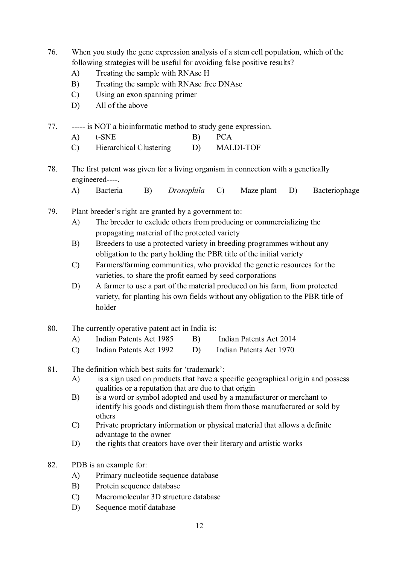- 76. When you study the gene expression analysis of a stem cell population, which of the following strategies will be useful for avoiding false positive results?
	- A) Treating the sample with RNAse H
	- B) Treating the sample with RNAse free DNAse
	- C) Using an exon spanning primer
	- D) All of the above
- 77. ----- is NOT a bioinformatic method to study gene expression.
	- A) t-SNE B) PCA
	- C) Hierarchical Clustering D) MALDI-TOF
- 78. The first patent was given for a living organism in connection with a genetically engineered----.
	- A) Bacteria B) *Drosophila* C) Maze plant D) Bacteriophage
- 79. Plant breeder's right are granted by a government to:
	- A) The breeder to exclude others from producing or commercializing the propagating material of the protected variety
	- B) Breeders to use a protected variety in breeding programmes without any obligation to the party holding the PBR title of the initial variety
	- C) Farmers/farming communities, who provided the genetic resources for the varieties, to share the profit earned by seed corporations
	- D) A farmer to use a part of the material produced on his farm, from protected variety, for planting his own fields without any obligation to the PBR title of holder
- 80. The currently operative patent act in India is:
	- A) Indian Patents Act 1985 B) Indian Patents Act 2014
	- C) Indian Patents Act 1992 D) Indian Patents Act 1970

## 81. The definition which best suits for 'trademark':

- A) is a sign used on products that have a specific geographical origin and possess qualities or a reputation that are due to that origin
- B) is a word or symbol adopted and used by a manufacturer or merchant to identify his goods and distinguish them from those manufactured or sold by others
- C) Private proprietary information or physical material that allows a definite advantage to the owner
- D) the rights that creators have over their literary and artistic works
- 82. PDB is an example for:
	- A) Primary nucleotide sequence database
	- B) Protein sequence database
	- C) Macromolecular 3D structure database
	- D) Sequence motif database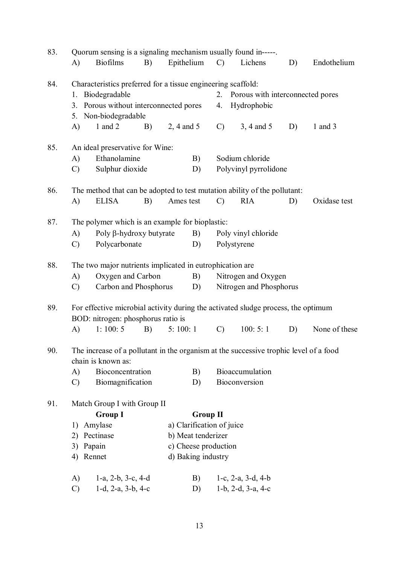| 83. | Quorum sensing is a signaling mechanism usually found in-----.                        |                                                              |    |                    |                    |                           |                                  |    |               |  |  |  |
|-----|---------------------------------------------------------------------------------------|--------------------------------------------------------------|----|--------------------|--------------------|---------------------------|----------------------------------|----|---------------|--|--|--|
|     | A)                                                                                    | <b>Biofilms</b>                                              | B) | Epithelium         |                    | $\mathcal{C}$             | Lichens                          | D) | Endothelium   |  |  |  |
| 84. |                                                                                       | Characteristics preferred for a tissue engineering scaffold: |    |                    |                    |                           |                                  |    |               |  |  |  |
|     | 1.                                                                                    | Biodegradable                                                |    |                    |                    | 2.                        | Porous with interconnected pores |    |               |  |  |  |
|     | 3.                                                                                    | Porous without interconnected pores                          |    |                    |                    | 4.                        | Hydrophobic                      |    |               |  |  |  |
|     | 5.                                                                                    | Non-biodegradable                                            |    |                    |                    |                           |                                  |    |               |  |  |  |
|     | A)                                                                                    | 1 and $2$                                                    | B) | 2, 4 and 5         |                    | $\mathcal{C}$             | 3, 4 and 5                       | D) | 1 and $3$     |  |  |  |
| 85. |                                                                                       | An ideal preservative for Wine:                              |    |                    |                    |                           |                                  |    |               |  |  |  |
|     | A)                                                                                    | Ethanolamine                                                 |    |                    | B)                 |                           | Sodium chloride                  |    |               |  |  |  |
|     | $\mathcal{C}$                                                                         | Sulphur dioxide                                              |    |                    | D)                 |                           | Polyvinyl pyrrolidone            |    |               |  |  |  |
| 86. | The method that can be adopted to test mutation ability of the pollutant:             |                                                              |    |                    |                    |                           |                                  |    |               |  |  |  |
|     | A)                                                                                    | <b>ELISA</b>                                                 | B) | Ames test          |                    | $\mathcal{C}$             | <b>RIA</b>                       | D) | Oxidase test  |  |  |  |
| 87. | The polymer which is an example for bioplastic:                                       |                                                              |    |                    |                    |                           |                                  |    |               |  |  |  |
|     | A)                                                                                    | Poly β-hydroxy butyrate                                      |    |                    | B)                 |                           | Poly vinyl chloride              |    |               |  |  |  |
|     | $\mathcal{C}$                                                                         | Polycarbonate                                                |    |                    | D)                 |                           | Polystyrene                      |    |               |  |  |  |
| 88. |                                                                                       | The two major nutrients implicated in eutrophication are     |    |                    |                    |                           |                                  |    |               |  |  |  |
|     | A)                                                                                    | Oxygen and Carbon                                            |    |                    | B)                 |                           | Nitrogen and Oxygen              |    |               |  |  |  |
|     | $\mathcal{C}$                                                                         | Carbon and Phosphorus                                        |    |                    | D)                 |                           | Nitrogen and Phosphorus          |    |               |  |  |  |
| 89. | For effective microbial activity during the activated sludge process, the optimum     |                                                              |    |                    |                    |                           |                                  |    |               |  |  |  |
|     |                                                                                       | BOD: nitrogen: phosphorus ratio is                           |    |                    |                    |                           |                                  |    |               |  |  |  |
|     | A)                                                                                    | 1:100:5                                                      | B) | 5:100:1            |                    | $\mathcal{C}$             | 100:5:1                          | D) | None of these |  |  |  |
| 90. | The increase of a pollutant in the organism at the successive trophic level of a food |                                                              |    |                    |                    |                           |                                  |    |               |  |  |  |
|     |                                                                                       | chain is known as:                                           |    |                    |                    |                           |                                  |    |               |  |  |  |
|     | A)                                                                                    | Bioconcentration                                             |    |                    | B)                 |                           | Bioaccumulation                  |    |               |  |  |  |
|     | $\mathcal{C}$                                                                         | Biomagnification                                             |    |                    | D)                 |                           | Bioconversion                    |    |               |  |  |  |
| 91. |                                                                                       | Match Group I with Group II                                  |    |                    |                    |                           |                                  |    |               |  |  |  |
|     |                                                                                       | <b>Group I</b>                                               |    |                    | <b>Group II</b>    |                           |                                  |    |               |  |  |  |
|     | 1)                                                                                    | Amylase                                                      |    |                    |                    | a) Clarification of juice |                                  |    |               |  |  |  |
|     | 2)                                                                                    | Pectinase                                                    |    | b) Meat tenderizer |                    |                           |                                  |    |               |  |  |  |
|     | Papain<br>3)                                                                          |                                                              |    |                    |                    | c) Cheese production      |                                  |    |               |  |  |  |
|     | 4) Rennet                                                                             |                                                              |    |                    | d) Baking industry |                           |                                  |    |               |  |  |  |
|     | A)                                                                                    | 1-a, 2-b, 3-c, 4-d                                           |    |                    | B)                 |                           | 1-c, $2-a$ , $3-d$ , $4-b$       |    |               |  |  |  |
|     | $\mathcal{C}$                                                                         | $1-d$ , $2-a$ , $3-b$ , $4-c$                                |    |                    | D)                 |                           | $1-b$ , $2-d$ , $3-a$ , $4-c$    |    |               |  |  |  |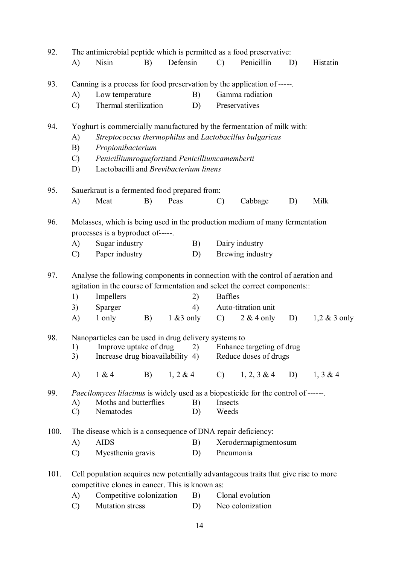| 92.  | The antimicrobial peptide which is permitted as a food preservative:   |                                                                                                                                                                |               |    |                 |                       |    |                 |  |  |  |
|------|------------------------------------------------------------------------|----------------------------------------------------------------------------------------------------------------------------------------------------------------|---------------|----|-----------------|-----------------------|----|-----------------|--|--|--|
|      | A)                                                                     | <b>Nisin</b><br>B)                                                                                                                                             | Defensin      |    | $\mathcal{C}$   | Penicillin            | D) | Histatin        |  |  |  |
| 93.  |                                                                        | Canning is a process for food preservation by the application of -----.                                                                                        |               |    |                 |                       |    |                 |  |  |  |
|      | A)                                                                     | Low temperature                                                                                                                                                |               | B) |                 | Gamma radiation       |    |                 |  |  |  |
|      | $\mathcal{C}$                                                          | Thermal sterilization                                                                                                                                          |               | D) |                 | Preservatives         |    |                 |  |  |  |
| 94.  | Yoghurt is commercially manufactured by the fermentation of milk with: |                                                                                                                                                                |               |    |                 |                       |    |                 |  |  |  |
|      | A)                                                                     | Streptococcus thermophilus and Lactobacillus bulgaricus                                                                                                        |               |    |                 |                       |    |                 |  |  |  |
|      | B)                                                                     | Propionibacterium                                                                                                                                              |               |    |                 |                       |    |                 |  |  |  |
|      | $\mathcal{C}$                                                          | Penicilliumroquefortiand Penicilliumcamemberti                                                                                                                 |               |    |                 |                       |    |                 |  |  |  |
|      | D)                                                                     | Lactobacilli and Brevibacterium linens                                                                                                                         |               |    |                 |                       |    |                 |  |  |  |
| 95.  |                                                                        | Sauerkraut is a fermented food prepared from:                                                                                                                  |               |    |                 |                       |    |                 |  |  |  |
|      | A)                                                                     | Meat<br>B)                                                                                                                                                     | Peas          |    | $\mathcal{C}$   | Cabbage               | D) | Milk            |  |  |  |
| 96.  |                                                                        | Molasses, which is being used in the production medium of many fermentation<br>processes is a byproduct of-----.                                               |               |    |                 |                       |    |                 |  |  |  |
|      | A)                                                                     | Sugar industry                                                                                                                                                 |               | B) |                 | Dairy industry        |    |                 |  |  |  |
|      | $\mathcal{C}$                                                          | Paper industry                                                                                                                                                 |               | D) |                 | Brewing industry      |    |                 |  |  |  |
| 97.  |                                                                        |                                                                                                                                                                |               |    |                 |                       |    |                 |  |  |  |
|      |                                                                        | Analyse the following components in connection with the control of aeration and<br>agitation in the course of fermentation and select the correct components:: |               |    |                 |                       |    |                 |  |  |  |
|      | 1)                                                                     | Impellers                                                                                                                                                      |               | 2) | <b>Baffles</b>  |                       |    |                 |  |  |  |
|      | 3)                                                                     | Sparger                                                                                                                                                        |               | 4) |                 | Auto-titration unit   |    |                 |  |  |  |
|      | A)                                                                     | 1 only<br>B)                                                                                                                                                   | $1 \& 3$ only |    | $\mathcal{C}$ ) | $2 & 4$ only          | D) | $1,2 \& 3$ only |  |  |  |
| 98.  | Nanoparticles can be used in drug delivery systems to                  |                                                                                                                                                                |               |    |                 |                       |    |                 |  |  |  |
|      |                                                                        | 1) Improve uptake of drug 2) Enhance targeting of drug                                                                                                         |               |    |                 |                       |    |                 |  |  |  |
|      | 3)                                                                     | Increase drug bioavailability 4)                                                                                                                               |               |    |                 | Reduce doses of drugs |    |                 |  |  |  |
|      | A)                                                                     | 1 & 4<br>B)                                                                                                                                                    | 1, 2 & 4      |    | $\mathbf{C}$ )  | $1, 2, 3 \& 4$        | D) | 1, 3 & 4        |  |  |  |
| 99.  |                                                                        | <i>Paecilomyces lilacinus</i> is widely used as a biopesticide for the control of ------.                                                                      |               |    |                 |                       |    |                 |  |  |  |
|      | A)                                                                     | Moths and butterflies                                                                                                                                          |               | B) | Insects         |                       |    |                 |  |  |  |
|      | $\mathcal{C}$                                                          | Nematodes                                                                                                                                                      |               | D) | Weeds           |                       |    |                 |  |  |  |
| 100. |                                                                        | The disease which is a consequence of DNA repair deficiency:                                                                                                   |               |    |                 |                       |    |                 |  |  |  |
|      | A)                                                                     | <b>AIDS</b>                                                                                                                                                    |               | B) |                 | Xerodermapigmentosum  |    |                 |  |  |  |
|      | $\mathcal{C}$                                                          | Myesthenia gravis                                                                                                                                              |               | D) |                 | Pneumonia             |    |                 |  |  |  |
| 101. |                                                                        | Cell population acquires new potentially advantageous traits that give rise to more<br>competitive clones in cancer. This is known as:                         |               |    |                 |                       |    |                 |  |  |  |
|      | A)                                                                     | Competitive colonization                                                                                                                                       |               | B) |                 | Clonal evolution      |    |                 |  |  |  |
|      | $\mathcal{C}$                                                          | <b>Mutation stress</b>                                                                                                                                         |               | D) |                 | Neo colonization      |    |                 |  |  |  |
|      |                                                                        |                                                                                                                                                                |               |    |                 |                       |    |                 |  |  |  |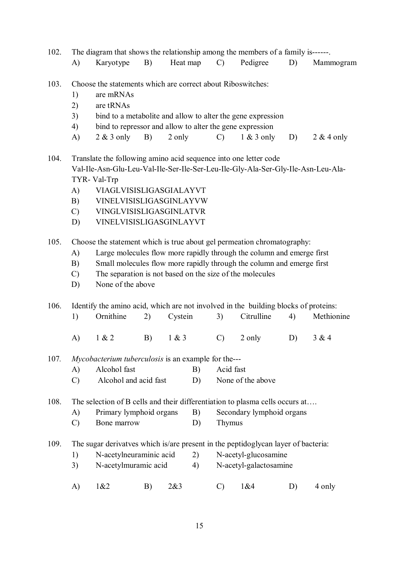- 102. The diagram that shows the relationship among the members of a family is------.
	- A) Karyotype B) Heat map C) Pedigree D) Mammogram
- 103. Choose the statements which are correct about Riboswitches:
	- 1) are mRNAs
	- 2) are tRNAs
	- 3) bind to a metabolite and allow to alter the gene expression
	- 4) bind to repressor and allow to alter the gene expression
	- A)  $2 \& 3$  only B)  $2 \text{ only}$  C)  $1 \& 3$  only D)  $2 \& 4$  only

104. Translate the following amino acid sequence into one letter code Val-Ile-Asn-Glu-Leu-Val-Ile-Ser-Ile-Ser-Leu-Ile-Gly-Ala-Ser-Gly-Ile-Asn-Leu-Ala-TYR- Val-Trp

- A) VIAGLVISISLIGASGIALAYVT
- B) VINELVISISLIGASGINLAYVW
- C) VINGLVISISLIGASGINLATVR
- D) VINELVISISLIGASGINLAYVT
- 105. Choose the statement which is true about gel permeation chromatography:
	- A) Large molecules flow more rapidly through the column and emerge first
	- B) Small molecules flow more rapidly through the column and emerge first
	- C) The separation is not based on the size of the molecules
	- D) None of the above

106. Identify the amino acid, which are not involved in the building blocks of proteins:

1) Ornithine 2) Cystein 3) Citrulline 4) Methionine A) 1 & 2 B) 1 & 3 C) 2 only D) 3 & 4

107*. Mycobacterium tuberculosis* is an example for the---

- A) Alcohol fast B) Acid fast
- C) Alcohol and acid fast D) None of the above

108. The selection of B cells and their differentiation to plasma cells occurs at....

- A) Primary lymphoid organs B) Secondary lymphoid organs
- C) Bone marrow D) Thymus

109. The sugar derivatves which is/are present in the peptidoglycan layer of bacteria:

- 1) N-acetylneuraminic acid 2) N-acetyl-glucosamine
- 3) N-acetylmuramic acid 4) N-acetyl-galactosamine
- A) 1&2 B) 2&3 C) 1&4 D) 4 only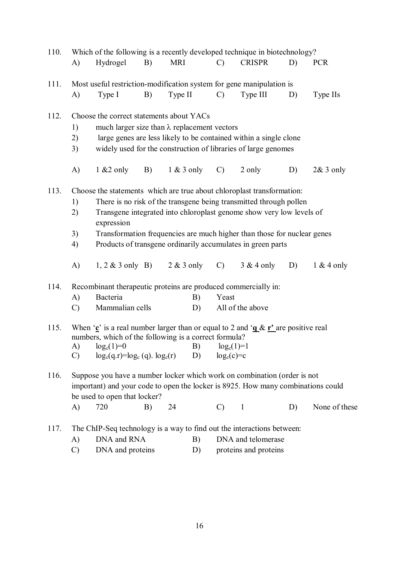| 110. |                                                                                                                                                    | Which of the following is a recently developed technique in biotechnology?       |    |              |               |                       |    |               |  |  |  |
|------|----------------------------------------------------------------------------------------------------------------------------------------------------|----------------------------------------------------------------------------------|----|--------------|---------------|-----------------------|----|---------------|--|--|--|
|      | A)                                                                                                                                                 | Hydrogel                                                                         | B) | <b>MRI</b>   | $\mathcal{C}$ | <b>CRISPR</b>         | D) | <b>PCR</b>    |  |  |  |
|      |                                                                                                                                                    |                                                                                  |    |              |               |                       |    |               |  |  |  |
| 111. |                                                                                                                                                    | Most useful restriction-modification system for gene manipulation is             |    |              |               |                       |    |               |  |  |  |
|      | A)                                                                                                                                                 | Type I                                                                           | B) | Type II      | $\mathcal{C}$ | Type III              | D) | Type IIs      |  |  |  |
| 112. |                                                                                                                                                    |                                                                                  |    |              |               |                       |    |               |  |  |  |
|      | Choose the correct statements about YACs<br>much larger size than $\lambda$ replacement vectors<br>1)                                              |                                                                                  |    |              |               |                       |    |               |  |  |  |
|      |                                                                                                                                                    |                                                                                  |    |              |               |                       |    |               |  |  |  |
|      | large genes are less likely to be contained within a single clone<br>2)<br>widely used for the construction of libraries of large genomes          |                                                                                  |    |              |               |                       |    |               |  |  |  |
|      | 3)                                                                                                                                                 |                                                                                  |    |              |               |                       |    |               |  |  |  |
|      | A)                                                                                                                                                 | $1 & 2$ only                                                                     | B) | $1 & 3$ only | $\mathcal{C}$ | 2 only                | D) | $2& 3$ only   |  |  |  |
| 113. |                                                                                                                                                    |                                                                                  |    |              |               |                       |    |               |  |  |  |
|      | Choose the statements which are true about chloroplast transformation:<br>There is no risk of the transgene being transmitted through pollen<br>1) |                                                                                  |    |              |               |                       |    |               |  |  |  |
|      | Transgene integrated into chloroplast genome show very low levels of<br>2)                                                                         |                                                                                  |    |              |               |                       |    |               |  |  |  |
|      |                                                                                                                                                    | expression                                                                       |    |              |               |                       |    |               |  |  |  |
|      | 3)                                                                                                                                                 |                                                                                  |    |              |               |                       |    |               |  |  |  |
|      | Transformation frequencies are much higher than those for nuclear genes<br>Products of transgene ordinarily accumulates in green parts<br>4)       |                                                                                  |    |              |               |                       |    |               |  |  |  |
|      |                                                                                                                                                    |                                                                                  |    |              |               |                       |    |               |  |  |  |
|      | A)                                                                                                                                                 | 1, 2 & 3 only B) 2 & 3 only                                                      |    |              | $\mathcal{C}$ | $3 & 4$ only          | D) | $1 & 4$ only  |  |  |  |
| 114. |                                                                                                                                                    | Recombinant therapeutic proteins are produced commercially in:                   |    |              |               |                       |    |               |  |  |  |
|      | A)                                                                                                                                                 | Bacteria                                                                         |    | B)           | Yeast         |                       |    |               |  |  |  |
|      | $\mathcal{C}$                                                                                                                                      | Mammalian cells                                                                  |    | D)           |               | All of the above      |    |               |  |  |  |
|      |                                                                                                                                                    |                                                                                  |    |              |               |                       |    |               |  |  |  |
| 115. | When 'c' is a real number larger than or equal to 2 and ' $\underline{\alpha} \& \underline{\mathbf{r}}$ ' are positive real                       |                                                                                  |    |              |               |                       |    |               |  |  |  |
|      |                                                                                                                                                    | numbers, which of the following is a correct formula?                            |    |              |               |                       |    |               |  |  |  |
|      |                                                                                                                                                    | A) $log_c(1)=0$ B) $log_c(1)=1$                                                  |    |              |               |                       |    |               |  |  |  |
|      | $\mathcal{C}$                                                                                                                                      | $log_c(q.r)=log_c(q).log_c(r)$                                                   |    | D)           | $log_c(c)=c$  |                       |    |               |  |  |  |
| 116. |                                                                                                                                                    | Suppose you have a number locker which work on combination (order is not         |    |              |               |                       |    |               |  |  |  |
|      |                                                                                                                                                    | important) and your code to open the locker is 8925. How many combinations could |    |              |               |                       |    |               |  |  |  |
|      |                                                                                                                                                    | be used to open that locker?                                                     |    |              |               |                       |    |               |  |  |  |
|      | A)                                                                                                                                                 | 720                                                                              | B) | 24           | $\mathcal{C}$ | $\overline{1}$        | D) | None of these |  |  |  |
|      |                                                                                                                                                    |                                                                                  |    |              |               |                       |    |               |  |  |  |
| 117. |                                                                                                                                                    | The ChIP-Seq technology is a way to find out the interactions between:           |    |              |               |                       |    |               |  |  |  |
|      | A)                                                                                                                                                 | DNA and RNA                                                                      |    | B)           |               | DNA and telomerase    |    |               |  |  |  |
|      | $\mathcal{C}$                                                                                                                                      | DNA and proteins                                                                 |    | D)           |               | proteins and proteins |    |               |  |  |  |